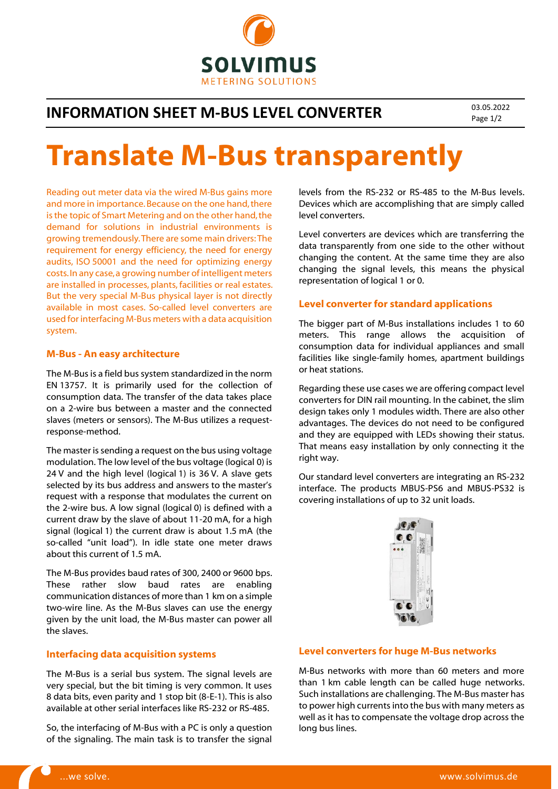

# **INFORMATION SHEET M-BUS LEVEL CONVERTER** 03.05.2022

Page 1/2

# Translate M-Bus transparently

Reading out meter data via the wired M-Bus gains more and more in importance. Because on the one hand, there is the topic of Smart Metering and on the other hand, the demand for solutions in industrial environments is growing tremendously. There are some main drivers: The requirement for energy efficiency, the need for energy audits, ISO 50001 and the need for optimizing energy costs. In any case, a growing number of intelligent meters are installed in processes, plants, facilities or real estates. But the very special M-Bus physical layer is not directly available in most cases. So-called level converters are used for interfacing M-Bus meters with a data acquisition system.

#### M-Bus - An easy architecture

The M-Bus is a field bus system standardized in the norm EN 13757. It is primarily used for the collection of consumption data. The transfer of the data takes place on a 2-wire bus between a master and the connected slaves (meters or sensors). The M-Bus utilizes a requestresponse-method.

The master is sending a request on the bus using voltage modulation. The low level of the bus voltage (logical 0) is 24 V and the high level (logical 1) is 36 V. A slave gets selected by its bus address and answers to the master's request with a response that modulates the current on the 2-wire bus. A low signal (logical 0) is defined with a current draw by the slave of about 11-20 mA, for a high signal (logical 1) the current draw is about 1.5 mA (the so-called "unit load"). In idle state one meter draws about this current of 1.5 mA.

The M-Bus provides baud rates of 300, 2400 or 9600 bps. These rather slow baud rates are enabling communication distances of more than 1 km on a simple two-wire line. As the M-Bus slaves can use the energy given by the unit load, the M-Bus master can power all the slaves.

#### Interfacing data acquisition systems

The M-Bus is a serial bus system. The signal levels are very special, but the bit timing is very common. It uses 8 data bits, even parity and 1 stop bit (8-E-1). This is also available at other serial interfaces like RS-232 or RS-485.

So, the interfacing of M-Bus with a PC is only a question of the signaling. The main task is to transfer the signal

levels from the RS-232 or RS-485 to the M-Bus levels. Devices which are accomplishing that are simply called level converters.

Level converters are devices which are transferring the data transparently from one side to the other without changing the content. At the same time they are also changing the signal levels, this means the physical representation of logical 1 or 0.

#### Level converter for standard applications

The bigger part of M-Bus installations includes 1 to 60 meters. This range allows the acquisition of consumption data for individual appliances and small facilities like single-family homes, apartment buildings or heat stations.

Regarding these use cases we are offering compact level converters for DIN rail mounting. In the cabinet, the slim design takes only 1 modules width. There are also other advantages. The devices do not need to be configured and they are equipped with LEDs showing their status. That means easy installation by only connecting it the right way.

Our standard level converters are integrating an RS-232 interface. The products MBUS-PS6 and MBUS-PS32 is covering installations of up to 32 unit loads.



#### Level converters for huge M-Bus networks

M-Bus networks with more than 60 meters and more than 1 km cable length can be called huge networks. Such installations are challenging. The M-Bus master has to power high currents into the bus with many meters as well as it has to compensate the voltage drop across the long bus lines.